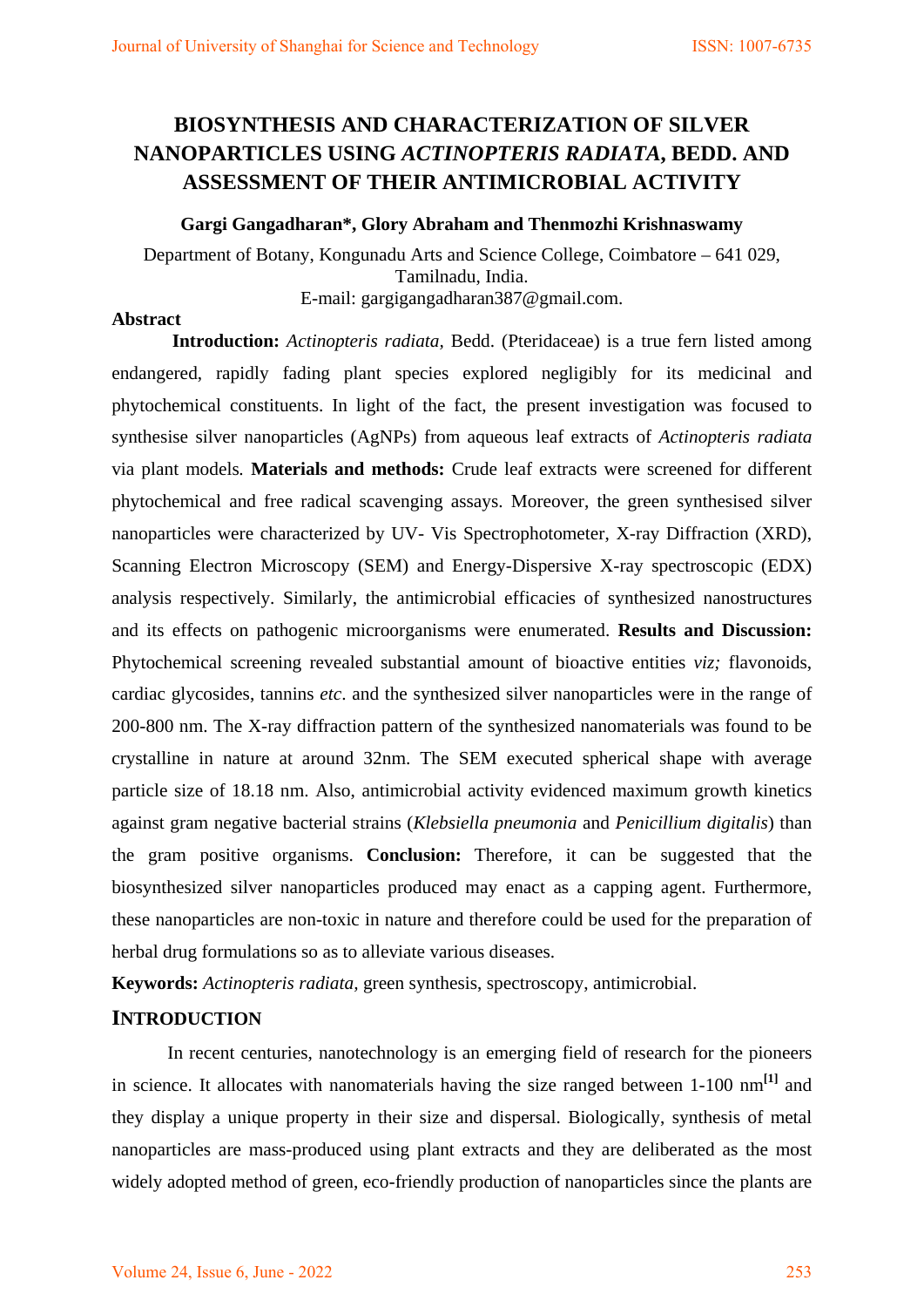# **BIOSYNTHESIS AND CHARACTERIZATION OF SILVER NANOPARTICLES USING** *ACTINOPTERIS RADIATA***, BEDD. AND ASSESSMENT OF THEIR ANTIMICROBIAL ACTIVITY**

# **Gargi Gangadharan\*, Glory Abraham and Thenmozhi Krishnaswamy**

Department of Botany, Kongunadu Arts and Science College, Coimbatore – 641 029, Tamilnadu, India. E-mail: gargigangadharan387@gmail.com.

# **Abstract**

**Introduction:** *Actinopteris radiata,* Bedd. (Pteridaceae) is a true fern listed among endangered, rapidly fading plant species explored negligibly for its medicinal and phytochemical constituents. In light of the fact, the present investigation was focused to synthesise silver nanoparticles (AgNPs) from aqueous leaf extracts of *Actinopteris radiata*  via plant models*.* **Materials and methods:** Crude leaf extracts were screened for different phytochemical and free radical scavenging assays. Moreover, the green synthesised silver nanoparticles were characterized by UV- Vis Spectrophotometer, X-ray Diffraction (XRD), Scanning Electron Microscopy (SEM) and Energy-Dispersive X-ray spectroscopic (EDX) analysis respectively. Similarly, the antimicrobial efficacies of synthesized nanostructures and its effects on pathogenic microorganisms were enumerated. **Results and Discussion:** Phytochemical screening revealed substantial amount of bioactive entities *viz;* flavonoids, cardiac glycosides, tannins *etc*. and the synthesized silver nanoparticles were in the range of 200-800 nm. The X-ray diffraction pattern of the synthesized nanomaterials was found to be crystalline in nature at around 32nm. The SEM executed spherical shape with average particle size of 18.18 nm. Also, antimicrobial activity evidenced maximum growth kinetics against gram negative bacterial strains (*Klebsiella pneumonia* and *Penicillium digitalis*) than the gram positive organisms. **Conclusion:** Therefore, it can be suggested that the biosynthesized silver nanoparticles produced may enact as a capping agent. Furthermore, these nanoparticles are non-toxic in nature and therefore could be used for the preparation of herbal drug formulations so as to alleviate various diseases.

**Keywords:** *Actinopteris radiata,* green synthesis, spectroscopy, antimicrobial.

# **INTRODUCTION**

In recent centuries, nanotechnology is an emerging field of research for the pioneers in science. It allocates with nanomaterials having the size ranged between 1-100 nm**[1]** and they display a unique property in their size and dispersal. Biologically, synthesis of metal nanoparticles are mass-produced using plant extracts and they are deliberated as the most widely adopted method of green, eco-friendly production of nanoparticles since the plants are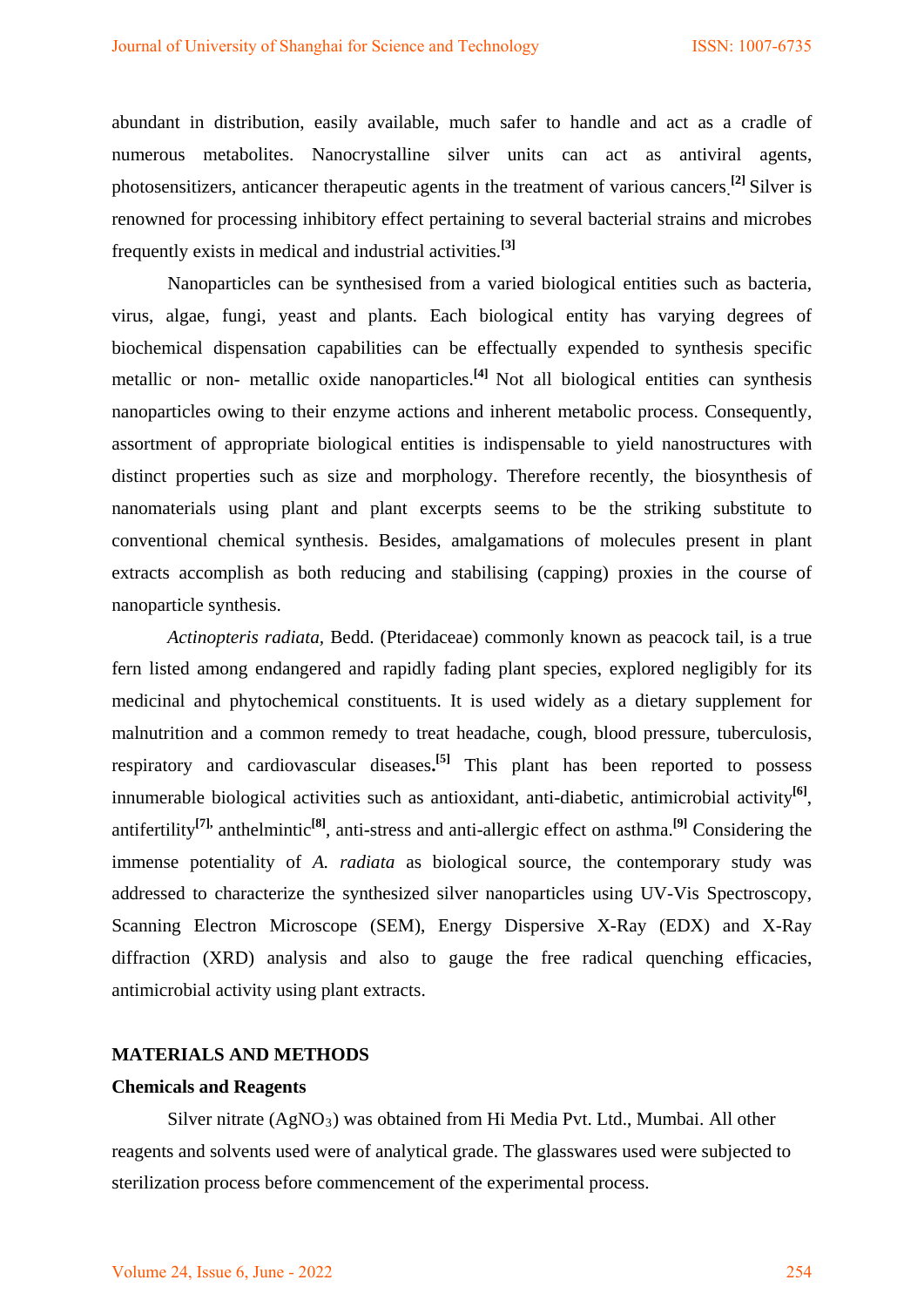abundant in distribution, easily available, much safer to handle and act as a cradle of numerous metabolites. Nanocrystalline silver units can act as antiviral agents, photosensitizers, anticancer therapeutic agents in the treatment of various cancers**. [2]** Silver is renowned for processing inhibitory effect pertaining to several bacterial strains and microbes frequently exists in medical and industrial activities. **[3]**

Nanoparticles can be synthesised from a varied biological entities such as bacteria, virus, algae, fungi, yeast and plants. Each biological entity has varying degrees of biochemical dispensation capabilities can be effectually expended to synthesis specific metallic or non- metallic oxide nanoparticles.<sup>[4]</sup> Not all biological entities can synthesis nanoparticles owing to their enzyme actions and inherent metabolic process. Consequently, assortment of appropriate biological entities is indispensable to yield nanostructures with distinct properties such as size and morphology. Therefore recently, the biosynthesis of nanomaterials using plant and plant excerpts seems to be the striking substitute to conventional chemical synthesis. Besides, amalgamations of molecules present in plant extracts accomplish as both reducing and stabilising (capping) proxies in the course of nanoparticle synthesis.

*Actinopteris radiata,* Bedd. (Pteridaceae) commonly known as peacock tail, is a true fern listed among endangered and rapidly fading plant species, explored negligibly for its medicinal and phytochemical constituents. It is used widely as a dietary supplement for malnutrition and a common remedy to treat headache, cough, blood pressure, tuberculosis, respiratory and cardiovascular diseases**. [5]** This plant has been reported to possess innumerable biological activities such as antioxidant, anti-diabetic, antimicrobial activity**[6]**, antifertility**[7],** anthelmintic**[8]**, anti-stress and anti-allergic effect on asthma. **[9]** Considering the immense potentiality of *A. radiata* as biological source, the contemporary study was addressed to characterize the synthesized silver nanoparticles using UV-Vis Spectroscopy, Scanning Electron Microscope (SEM), Energy Dispersive X-Ray (EDX) and X-Ray diffraction (XRD) analysis and also to gauge the free radical quenching efficacies, antimicrobial activity using plant extracts.

#### **MATERIALS AND METHODS**

#### **Chemicals and Reagents**

Silver nitrate  $(AgNO_3)$  was obtained from Hi Media Pvt. Ltd., Mumbai. All other reagents and solvents used were of analytical grade. The glasswares used were subjected to sterilization process before commencement of the experimental process.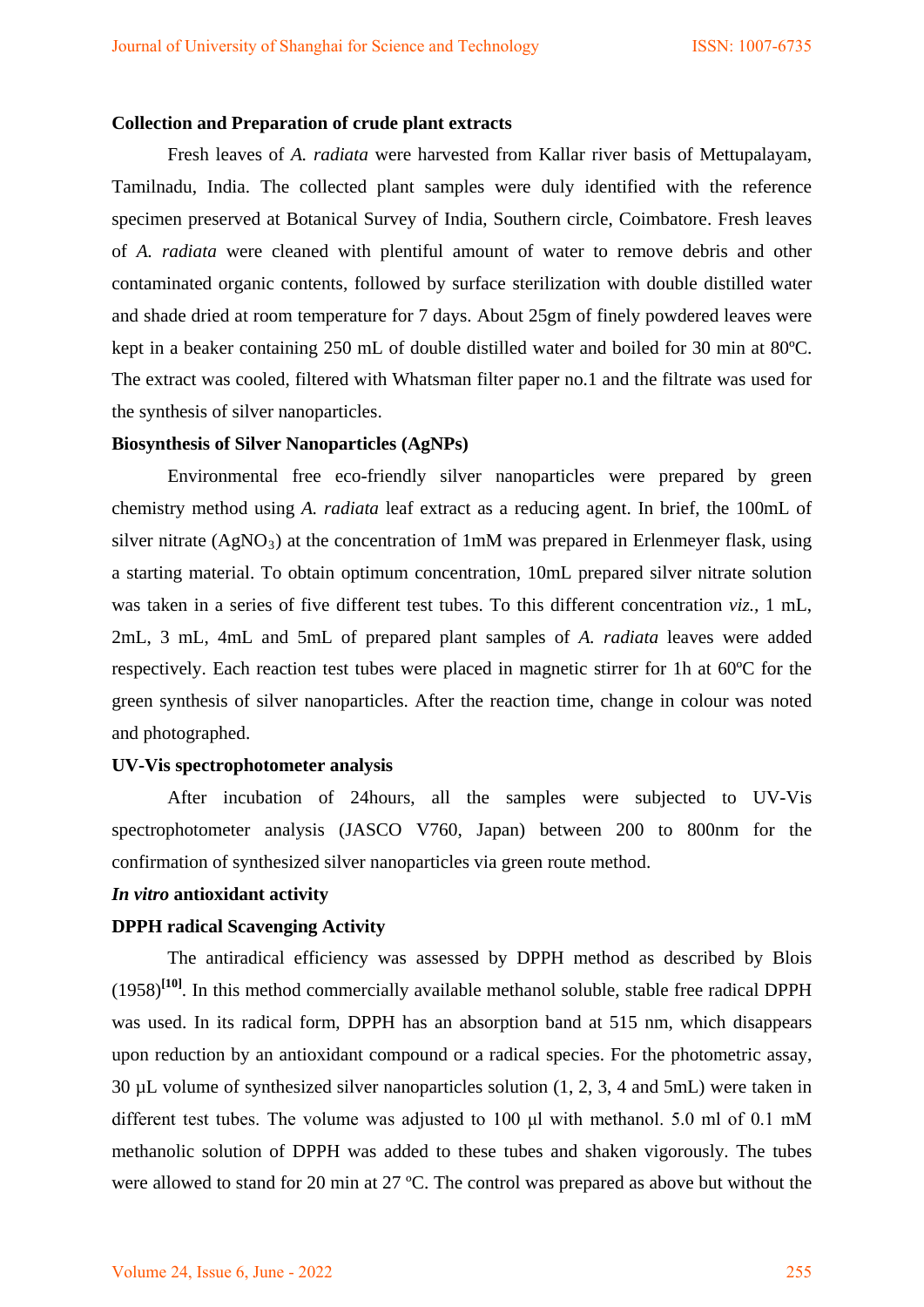#### **Collection and Preparation of crude plant extracts**

Fresh leaves of *A. radiata* were harvested from Kallar river basis of Mettupalayam, Tamilnadu, India. The collected plant samples were duly identified with the reference specimen preserved at Botanical Survey of India, Southern circle, Coimbatore. Fresh leaves of *A. radiata* were cleaned with plentiful amount of water to remove debris and other contaminated organic contents, followed by surface sterilization with double distilled water and shade dried at room temperature for 7 days. About 25gm of finely powdered leaves were kept in a beaker containing 250 mL of double distilled water and boiled for 30 min at 80ºC. The extract was cooled, filtered with Whatsman filter paper no.1 and the filtrate was used for the synthesis of silver nanoparticles.

#### **Biosynthesis of Silver Nanoparticles (AgNPs)**

Environmental free eco-friendly silver nanoparticles were prepared by green chemistry method using *A. radiata* leaf extract as a reducing agent. In brief, the 100mL of silver nitrate  $(AgNO_3)$  at the concentration of 1mM was prepared in Erlenmeyer flask, using a starting material. To obtain optimum concentration, 10mL prepared silver nitrate solution was taken in a series of five different test tubes. To this different concentration *viz.,* 1 mL, 2mL, 3 mL, 4mL and 5mL of prepared plant samples of *A. radiata* leaves were added respectively. Each reaction test tubes were placed in magnetic stirrer for 1h at 60ºC for the green synthesis of silver nanoparticles. After the reaction time, change in colour was noted and photographed.

#### **UV-Vis spectrophotometer analysis**

After incubation of 24hours, all the samples were subjected to UV-Vis spectrophotometer analysis (JASCO V760, Japan) between 200 to 800nm for the confirmation of synthesized silver nanoparticles via green route method.

# *In vitro* **antioxidant activity**

# **DPPH radical Scavenging Activity**

The antiradical efficiency was assessed by DPPH method as described by Blois (1958)**[10]** . In this method commercially available methanol soluble, stable free radical DPPH was used. In its radical form, DPPH has an absorption band at 515 nm, which disappears upon reduction by an antioxidant compound or a radical species. For the photometric assay, 30 µL volume of synthesized silver nanoparticles solution (1, 2, 3, 4 and 5mL) were taken in different test tubes. The volume was adjusted to 100 μl with methanol. 5.0 ml of 0.1 mM methanolic solution of DPPH was added to these tubes and shaken vigorously. The tubes were allowed to stand for 20 min at 27 ºC. The control was prepared as above but without the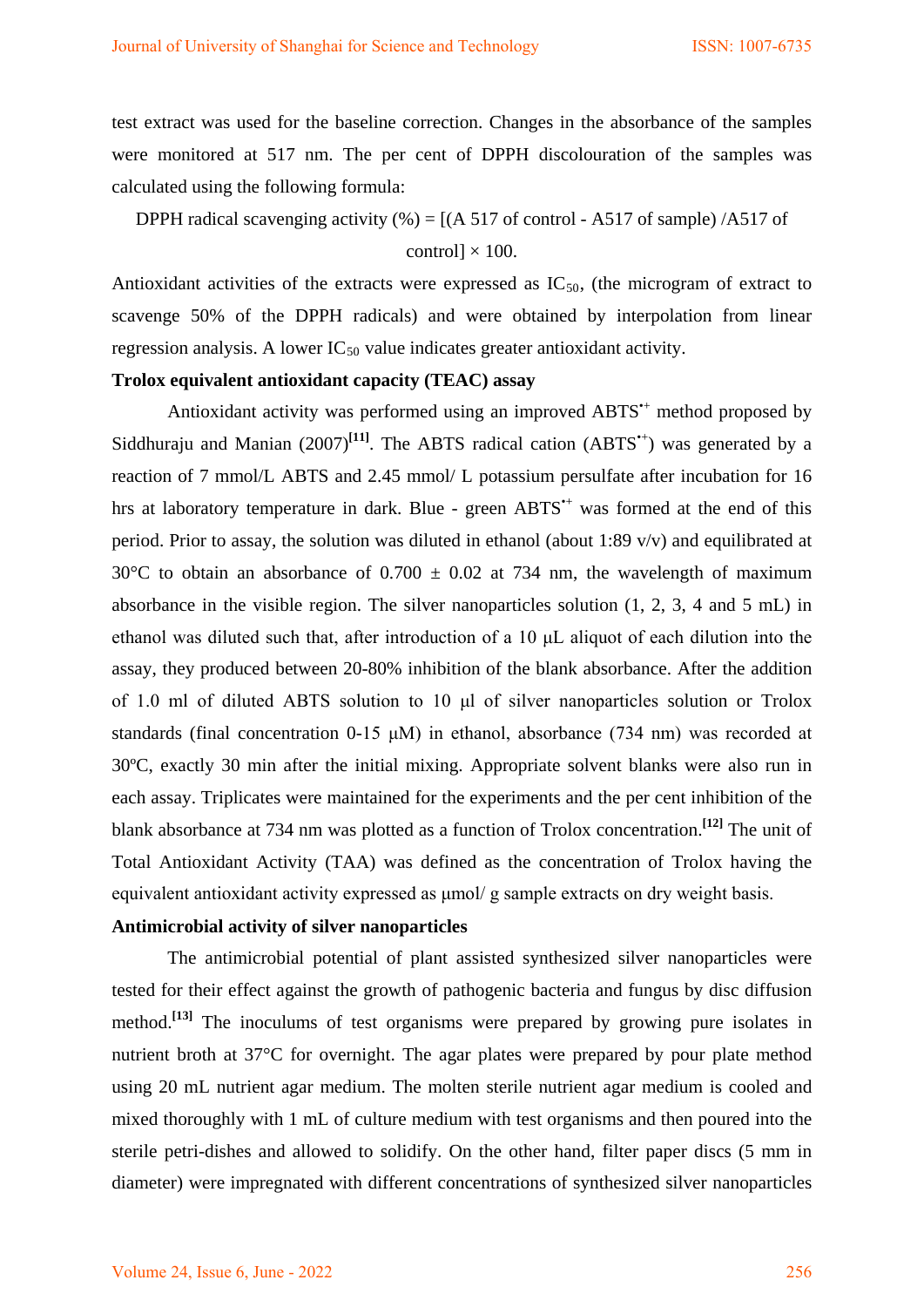test extract was used for the baseline correction. Changes in the absorbance of the samples were monitored at 517 nm. The per cent of DPPH discolouration of the samples was calculated using the following formula:

# DPPH radical scavenging activity  $\left(\% \right) = \left[ \frac{A 517}{06} \right]$  control - A517 of sample) /A517 of control]  $\times$  100.

Antioxidant activities of the extracts were expressed as  $IC_{50}$ , (the microgram of extract to scavenge 50% of the DPPH radicals) and were obtained by interpolation from linear regression analysis. A lower  $IC_{50}$  value indicates greater antioxidant activity.

# **Trolox equivalent antioxidant capacity (TEAC) assay**

Antioxidant activity was performed using an improved  $ABTS^+$  method proposed by Siddhuraju and Manian  $(2007)^{[11]}$ . The ABTS radical cation  $(ABTS^*)$  was generated by a reaction of 7 mmol/L ABTS and 2.45 mmol/ L potassium persulfate after incubation for 16 hrs at laboratory temperature in dark. Blue - green ABTS<sup>\*+</sup> was formed at the end of this period. Prior to assay, the solution was diluted in ethanol (about 1:89 v/v) and equilibrated at 30°C to obtain an absorbance of 0.700  $\pm$  0.02 at 734 nm, the wavelength of maximum absorbance in the visible region. The silver nanoparticles solution (1, 2, 3, 4 and 5 mL) in ethanol was diluted such that, after introduction of a 10 μL aliquot of each dilution into the assay, they produced between 20-80% inhibition of the blank absorbance. After the addition of 1.0 ml of diluted ABTS solution to 10 μl of silver nanoparticles solution or Trolox standards (final concentration 0-15 μM) in ethanol, absorbance (734 nm) was recorded at 30ºC, exactly 30 min after the initial mixing. Appropriate solvent blanks were also run in each assay. Triplicates were maintained for the experiments and the per cent inhibition of the blank absorbance at 734 nm was plotted as a function of Trolox concentration. **[12]** The unit of Total Antioxidant Activity (TAA) was defined as the concentration of Trolox having the equivalent antioxidant activity expressed as μmol/ g sample extracts on dry weight basis.

# **Antimicrobial activity of silver nanoparticles**

The antimicrobial potential of plant assisted synthesized silver nanoparticles were tested for their effect against the growth of pathogenic bacteria and fungus by disc diffusion method.<sup>[13]</sup> The inoculums of test organisms were prepared by growing pure isolates in nutrient broth at 37°C for overnight. The agar plates were prepared by pour plate method using 20 mL nutrient agar medium. The molten sterile nutrient agar medium is cooled and mixed thoroughly with 1 mL of culture medium with test organisms and then poured into the sterile petri-dishes and allowed to solidify. On the other hand, filter paper discs (5 mm in diameter) were impregnated with different concentrations of synthesized silver nanoparticles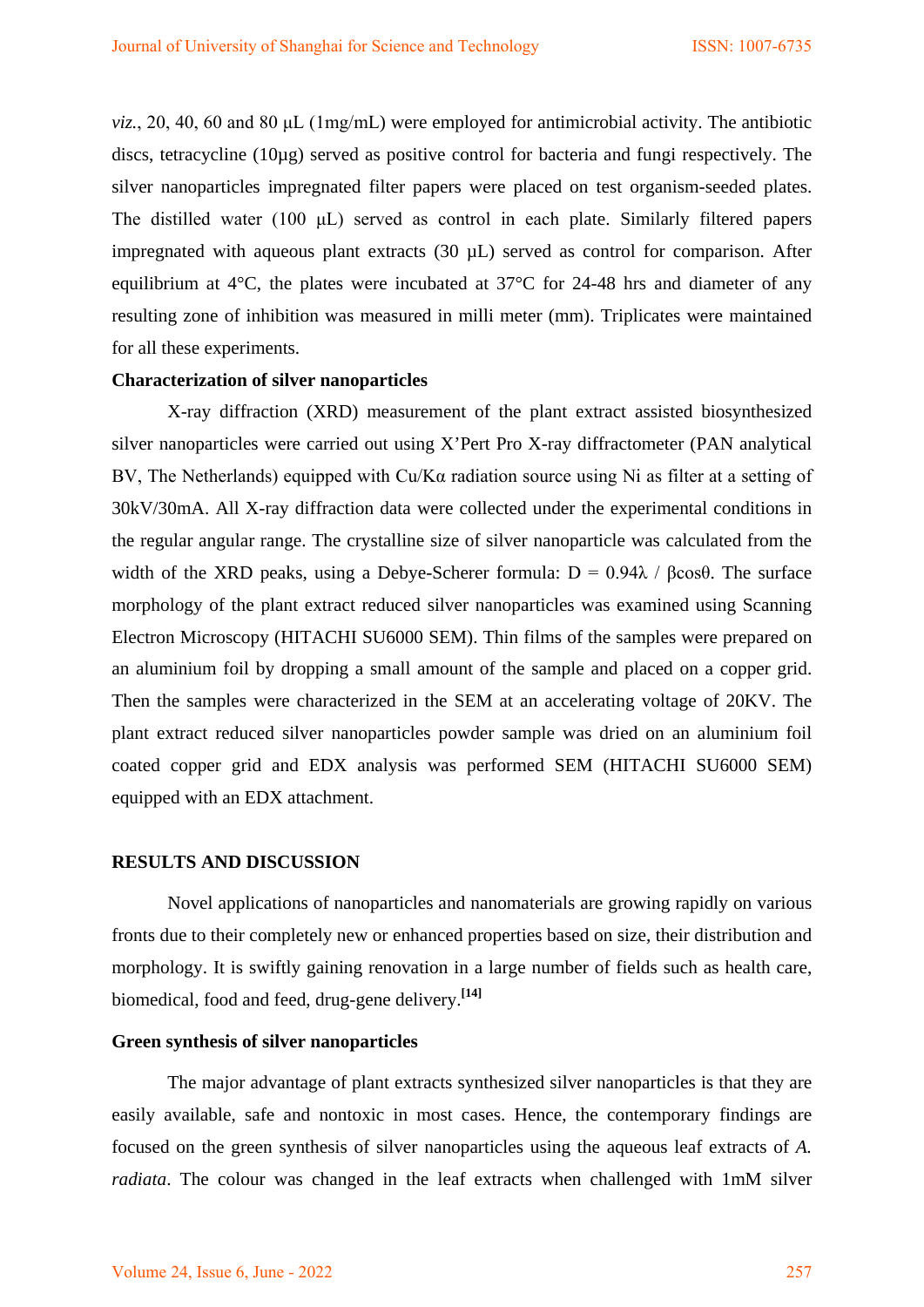*viz.*, 20, 40, 60 and 80 μL (1mg/mL) were employed for antimicrobial activity. The antibiotic discs, tetracycline (10µg) served as positive control for bacteria and fungi respectively. The silver nanoparticles impregnated filter papers were placed on test organism-seeded plates. The distilled water (100 μL) served as control in each plate. Similarly filtered papers impregnated with aqueous plant extracts (30 µL) served as control for comparison. After equilibrium at 4°C, the plates were incubated at 37°C for 24-48 hrs and diameter of any resulting zone of inhibition was measured in milli meter (mm). Triplicates were maintained for all these experiments.

#### **Characterization of silver nanoparticles**

X-ray diffraction (XRD) measurement of the plant extract assisted biosynthesized silver nanoparticles were carried out using X'Pert Pro X-ray diffractometer (PAN analytical BV, The Netherlands) equipped with Cu/Kα radiation source using Ni as filter at a setting of 30kV/30mA. All X-ray diffraction data were collected under the experimental conditions in the regular angular range. The crystalline size of silver nanoparticle was calculated from the width of the XRD peaks, using a Debye-Scherer formula:  $D = 0.94\lambda / \beta cos\theta$ . The surface morphology of the plant extract reduced silver nanoparticles was examined using Scanning Electron Microscopy (HITACHI SU6000 SEM). Thin films of the samples were prepared on an aluminium foil by dropping a small amount of the sample and placed on a copper grid. Then the samples were characterized in the SEM at an accelerating voltage of 20KV. The plant extract reduced silver nanoparticles powder sample was dried on an aluminium foil coated copper grid and EDX analysis was performed SEM (HITACHI SU6000 SEM) equipped with an EDX attachment.

#### **RESULTS AND DISCUSSION**

Novel applications of nanoparticles and nanomaterials are growing rapidly on various fronts due to their completely new or enhanced properties based on size, their distribution and morphology. It is swiftly gaining renovation in a large number of fields such as health care, biomedical, food and feed, drug-gene delivery. **[14]**

#### **Green synthesis of silver nanoparticles**

The major advantage of plant extracts synthesized silver nanoparticles is that they are easily available, safe and nontoxic in most cases. Hence, the contemporary findings are focused on the green synthesis of silver nanoparticles using the aqueous leaf extracts of *A. radiata*. The colour was changed in the leaf extracts when challenged with 1mM silver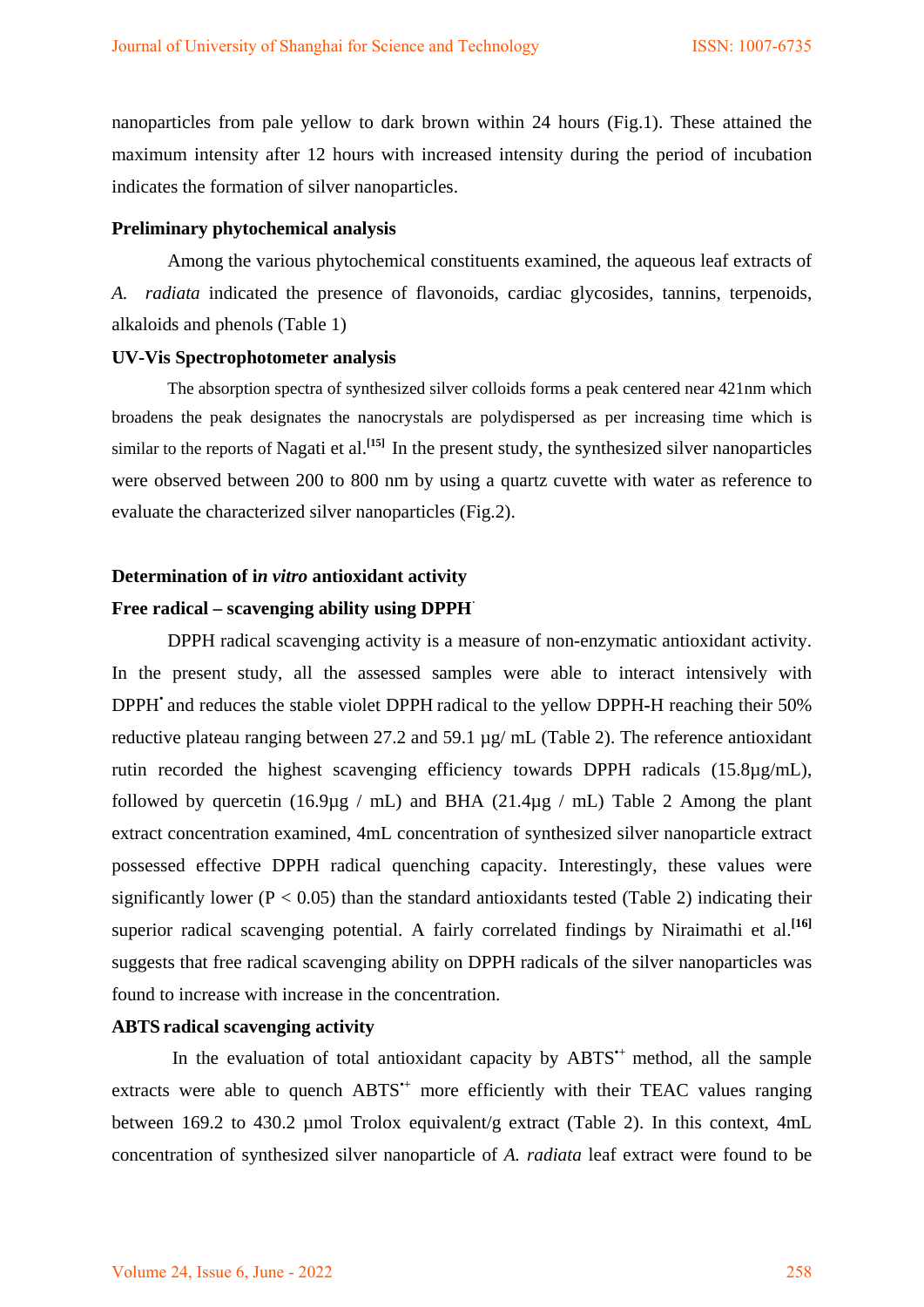nanoparticles from pale yellow to dark brown within 24 hours (Fig.1). These attained the maximum intensity after 12 hours with increased intensity during the period of incubation indicates the formation of silver nanoparticles.

## **Preliminary phytochemical analysis**

Among the various phytochemical constituents examined, the aqueous leaf extracts of *A. radiata* indicated the presence of flavonoids, cardiac glycosides, tannins, terpenoids, alkaloids and phenols (Table 1)

#### **UV-Vis Spectrophotometer analysis**

The absorption spectra of synthesized silver colloids forms a peak centered near 421nm which broadens the peak designates the nanocrystals are polydispersed as per increasing time which is similar to the reports of Nagati et al. **[15]** In the present study, the synthesized silver nanoparticles were observed between 200 to 800 nm by using a quartz cuvette with water as reference to evaluate the characterized silver nanoparticles (Fig.2).

# **Determination of i***n vitro* **antioxidant activity**

#### Free radical – scavenging ability using DPPH<sup> $\cdot$ </sup>

DPPH radical scavenging activity is a measure of non-enzymatic antioxidant activity. In the present study, all the assessed samples were able to interact intensively with DPPH• and reduces the stable violet DPPH radical to the yellow DPPH**-**H reaching their 50% reductive plateau ranging between 27.2 and 59.1 µg/ mL (Table 2). The reference antioxidant rutin recorded the highest scavenging efficiency towards DPPH radicals (15.8µg/mL), followed by quercetin (16.9 $\mu$ g / mL) and BHA (21.4 $\mu$ g / mL) Table 2 Among the plant extract concentration examined, 4mL concentration of synthesized silver nanoparticle extract possessed effective DPPH radical quenching capacity. Interestingly, these values were significantly lower ( $P < 0.05$ ) than the standard antioxidants tested (Table 2) indicating their superior radical scavenging potential. A fairly correlated findings by Niraimathi et al.<sup>[16]</sup> suggests that free radical scavenging ability on DPPH radicals of the silver nanoparticles was found to increase with increase in the concentration.

## **ABTS radical scavenging activity**

In the evaluation of total antioxidant capacity by ABTS<sup>\*+</sup> method, all the sample extracts were able to quench  $ABTS^+$  more efficiently with their TEAC values ranging between 169.2 to 430.2 µmol Trolox equivalent/g extract (Table 2). In this context, 4mL concentration of synthesized silver nanoparticle of *A. radiata* leaf extract were found to be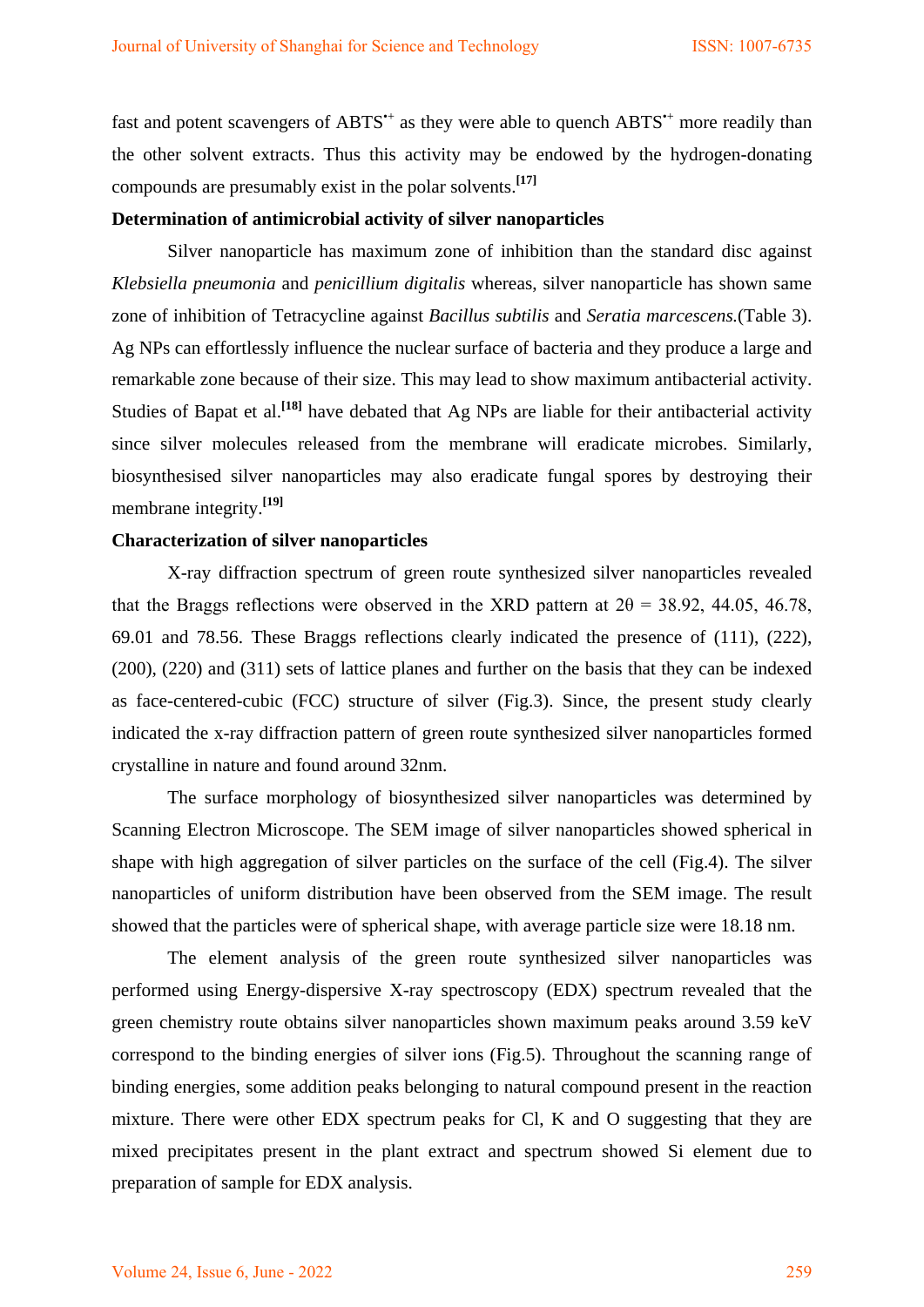fast and potent scavengers of  $ABTS^*$  as they were able to quench  $ABTS^*$  more readily than the other solvent extracts. Thus this activity may be endowed by the hydrogen-donating compounds are presumably exist in the polar solvents.**[17]**

# **Determination of antimicrobial activity of silver nanoparticles**

Silver nanoparticle has maximum zone of inhibition than the standard disc against *Klebsiella pneumonia* and *penicillium digitalis* whereas, silver nanoparticle has shown same zone of inhibition of Tetracycline against *Bacillus subtilis* and *Seratia marcescens.*(Table 3). Ag NPs can effortlessly influence the nuclear surface of bacteria and they produce a large and remarkable zone because of their size. This may lead to show maximum antibacterial activity. Studies of Bapat et al.<sup>[18]</sup> have debated that Ag NPs are liable for their antibacterial activity since silver molecules released from the membrane will eradicate microbes. Similarly, biosynthesised silver nanoparticles may also eradicate fungal spores by destroying their membrane integrity. **[19]**

## **Characterization of silver nanoparticles**

X-ray diffraction spectrum of green route synthesized silver nanoparticles revealed that the Braggs reflections were observed in the XRD pattern at  $2\theta = 38.92$ , 44.05, 46.78, 69.01 and 78.56. These Braggs reflections clearly indicated the presence of (111), (222), (200), (220) and (311) sets of lattice planes and further on the basis that they can be indexed as face-centered-cubic (FCC) structure of silver (Fig.3). Since, the present study clearly indicated the x-ray diffraction pattern of green route synthesized silver nanoparticles formed crystalline in nature and found around 32nm.

The surface morphology of biosynthesized silver nanoparticles was determined by Scanning Electron Microscope. The SEM image of silver nanoparticles showed spherical in shape with high aggregation of silver particles on the surface of the cell (Fig.4). The silver nanoparticles of uniform distribution have been observed from the SEM image. The result showed that the particles were of spherical shape, with average particle size were 18.18 nm.

The element analysis of the green route synthesized silver nanoparticles was performed using Energy-dispersive X-ray spectroscopy (EDX) spectrum revealed that the green chemistry route obtains silver nanoparticles shown maximum peaks around 3.59 keV correspond to the binding energies of silver ions (Fig.5). Throughout the scanning range of binding energies, some addition peaks belonging to natural compound present in the reaction mixture. There were other EDX spectrum peaks for Cl, K and O suggesting that they are mixed precipitates present in the plant extract and spectrum showed Si element due to preparation of sample for EDX analysis.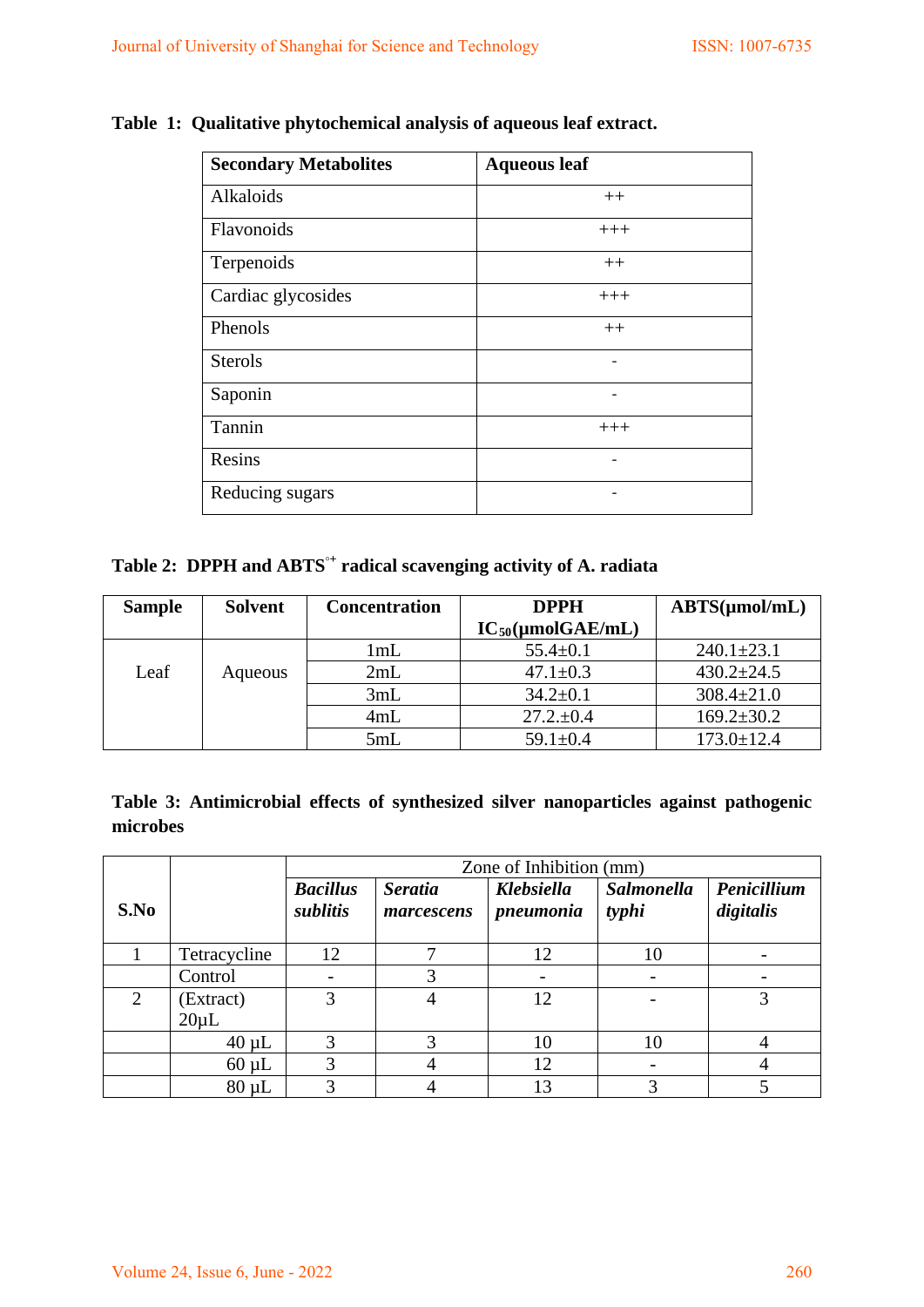| <b>Secondary Metabolites</b> | <b>Aqueous leaf</b> |
|------------------------------|---------------------|
| Alkaloids                    | $++$                |
| Flavonoids                   | $+++$               |
| Terpenoids                   | $++$                |
| Cardiac glycosides           | $+++$               |
| Phenols                      | $++$                |
| <b>Sterols</b>               |                     |
| Saponin                      |                     |
| Tannin                       | $+++$               |
| Resins                       |                     |
| Reducing sugars              |                     |

# **Table 1: Qualitative phytochemical analysis of aqueous leaf extract.**

**Table 2: DPPH and ABTS◦<sup>+</sup> radical scavenging activity of A. radiata**

| <b>Sample</b> | <b>Solvent</b> | <b>Concentration</b> | <b>DPPH</b>                      | $ABTS(\mu mol/mL)$ |  |
|---------------|----------------|----------------------|----------------------------------|--------------------|--|
|               |                |                      | $IC_{50}(\mu \text{mol} GAE/mL)$ |                    |  |
|               |                | 1mL                  | $55.4 \pm 0.1$                   | $240.1 \pm 23.1$   |  |
| Leaf          | Aqueous        | 2mL                  | $47.1 \pm 0.3$                   | $430.2 \pm 24.5$   |  |
|               |                | 3mL                  | $34.2 \pm 0.1$                   | $308.4 \pm 21.0$   |  |
|               |                | 4mL                  | $27.2 \pm 0.4$                   | $169.2 \pm 30.2$   |  |
|               |                | 5mL                  | $59.1 \pm 0.4$                   | $173.0 \pm 12.4$   |  |

|          | Table 3: Antimicrobial effects of synthesized silver nanoparticles against pathogenic |  |  |  |  |
|----------|---------------------------------------------------------------------------------------|--|--|--|--|
| microbes |                                                                                       |  |  |  |  |

|      |              | Zone of Inhibition (mm)     |                              |                                |                            |                          |  |  |
|------|--------------|-----------------------------|------------------------------|--------------------------------|----------------------------|--------------------------|--|--|
| S.No |              | <b>Bacillus</b><br>sublitis | <b>Seratia</b><br>marcescens | <b>Klebsiella</b><br>pneumonia | <b>Salmonella</b><br>typhi | Penicillium<br>digitalis |  |  |
|      | Tetracycline | 12                          |                              | 12                             | 10                         |                          |  |  |
|      | Control      |                             | 3                            |                                |                            |                          |  |  |
| 2    | (Extract)    | 3                           | 4                            | 12                             |                            |                          |  |  |
|      | $20 \mu L$   |                             |                              |                                |                            |                          |  |  |
|      | $40 \mu L$   | 3                           | 3                            | 10                             | 10                         |                          |  |  |
|      | $60 \mu L$   | 3                           |                              | 12                             |                            |                          |  |  |
|      | $80 \mu L$   |                             |                              | 13                             |                            |                          |  |  |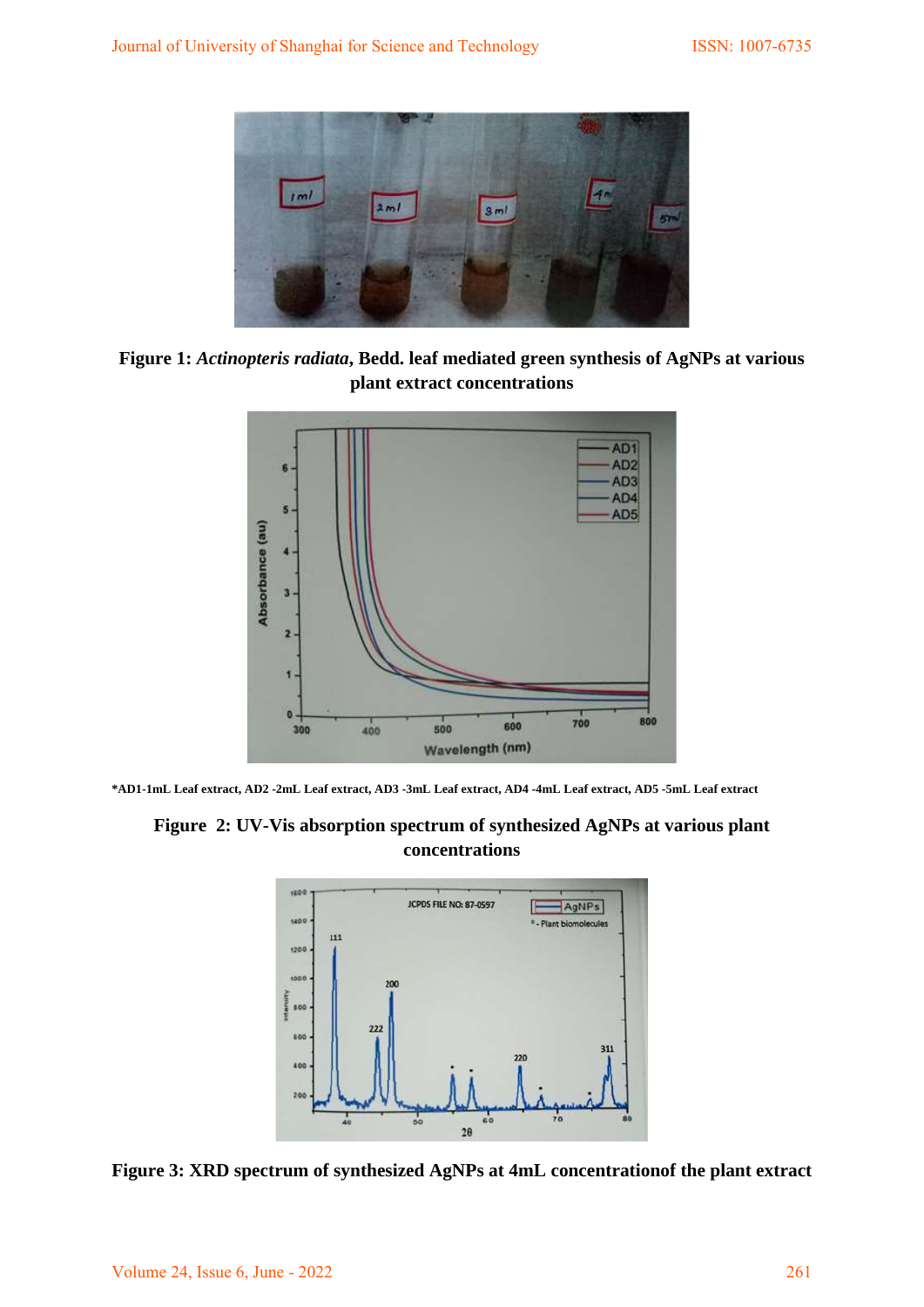

**Figure 1:** *Actinopteris radiata***, Bedd. leaf mediated green synthesis of AgNPs at various plant extract concentrations**



**\*AD1-1mL Leaf extract, AD2 -2mL Leaf extract, AD3 -3mL Leaf extract, AD4 -4mL Leaf extract, AD5 -5mL Leaf extract**

# **Figure 2: UV-Vis absorption spectrum of synthesized AgNPs at various plant concentrations**



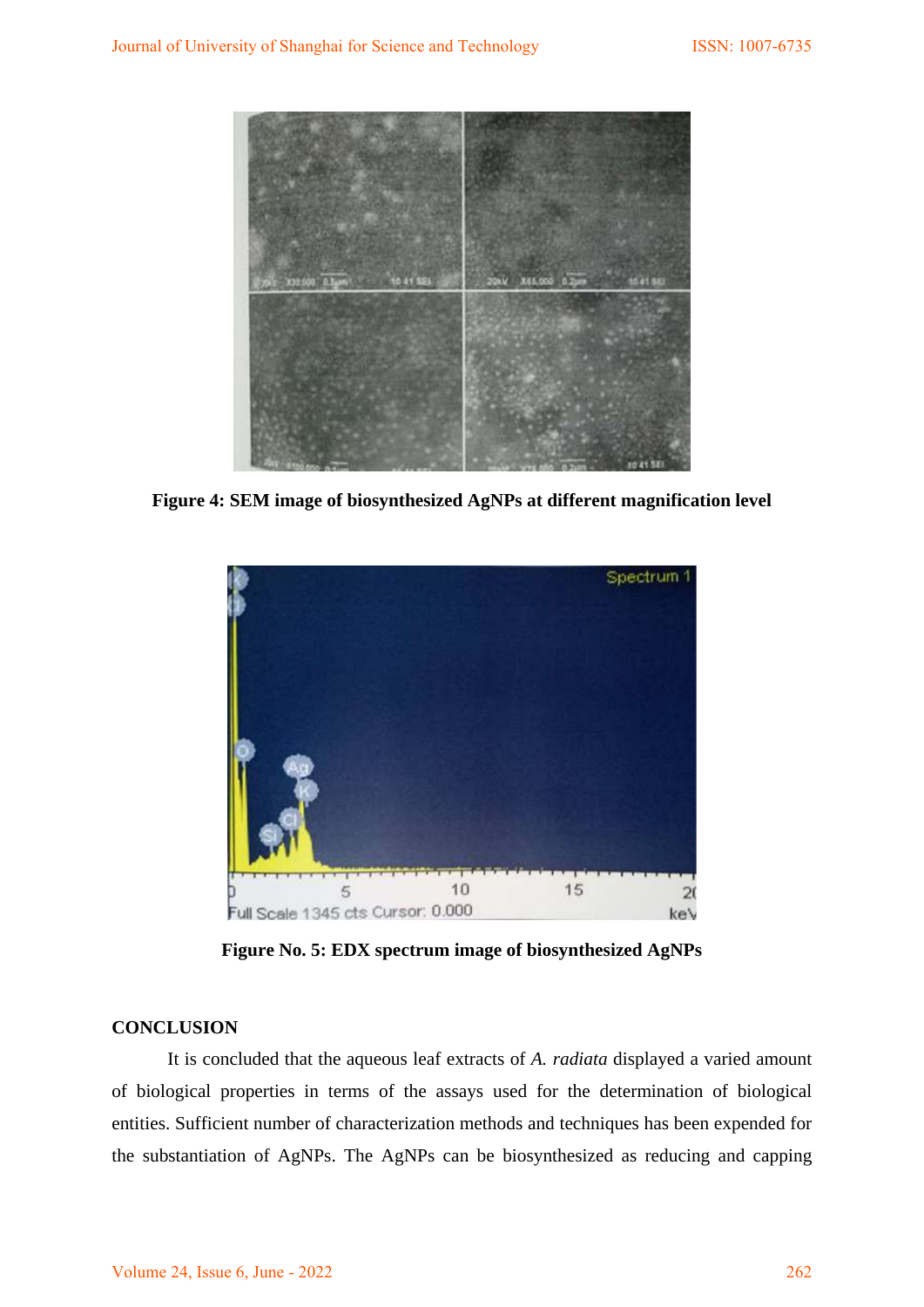

**Figure 4: SEM image of biosynthesized AgNPs at different magnification level**



**Figure No. 5: EDX spectrum image of biosynthesized AgNPs**

## **CONCLUSION**

It is concluded that the aqueous leaf extracts of *A. radiata* displayed a varied amount of biological properties in terms of the assays used for the determination of biological entities. Sufficient number of characterization methods and techniques has been expended for the substantiation of AgNPs. The AgNPs can be biosynthesized as reducing and capping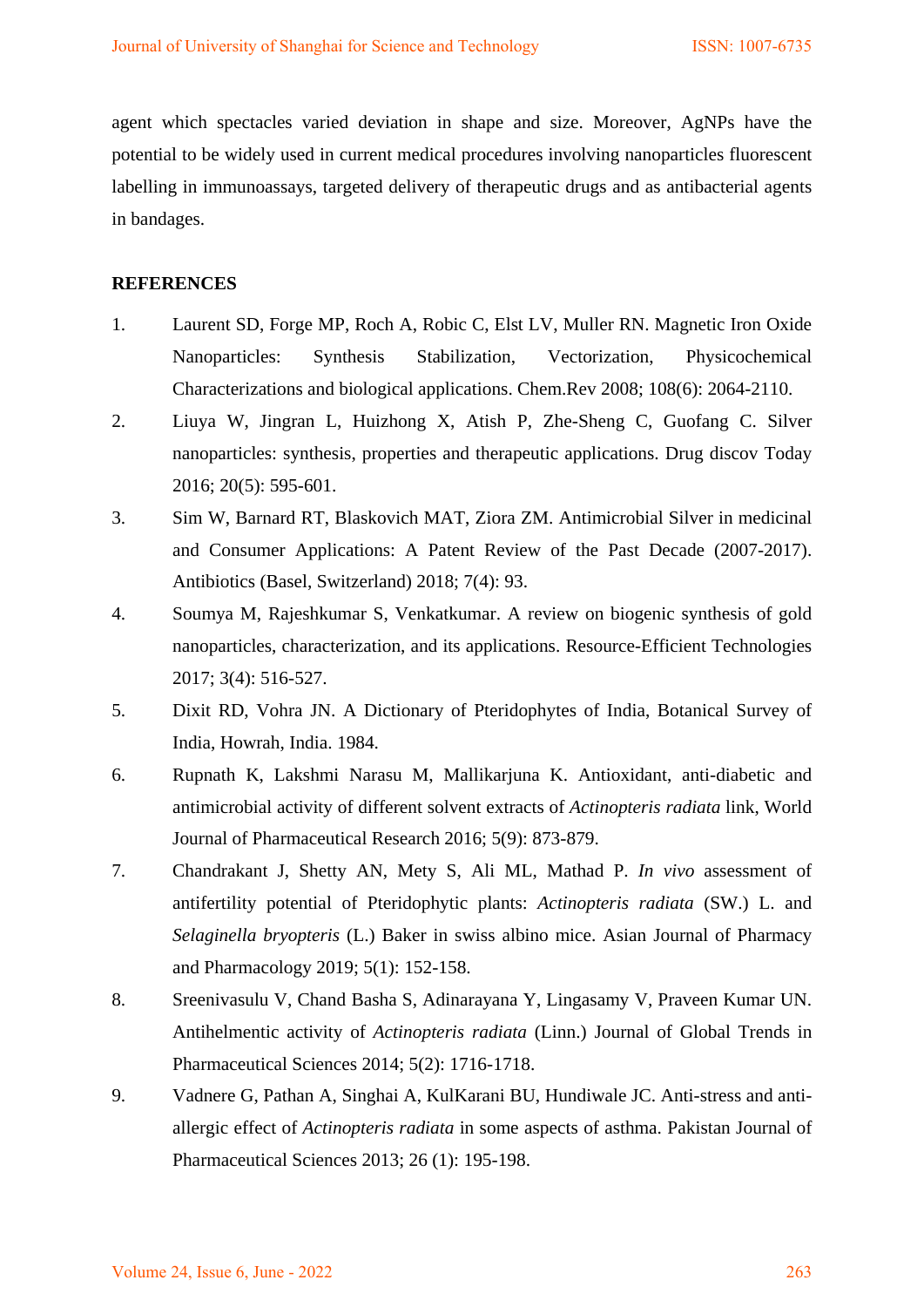agent which spectacles varied deviation in shape and size. Moreover, AgNPs have the potential to be widely used in current medical procedures involving nanoparticles fluorescent labelling in immunoassays, targeted delivery of therapeutic drugs and as antibacterial agents in bandages.

# **REFERENCES**

- 1. Laurent SD, Forge MP, Roch A, Robic C, Elst LV, Muller RN. Magnetic Iron Oxide Nanoparticles: Synthesis Stabilization, Vectorization, Physicochemical Characterizations and biological applications. Chem.Rev 2008; 108(6): 2064-2110.
- 2. Liuya W, Jingran L, Huizhong X, Atish P, Zhe-Sheng C, Guofang C. Silver nanoparticles: synthesis, properties and therapeutic applications. Drug discov Today 2016; 20(5): 595-601.
- 3. Sim W, Barnard RT, Blaskovich MAT, Ziora ZM. Antimicrobial Silver in medicinal and Consumer Applications: A Patent Review of the Past Decade (2007-2017). Antibiotics (Basel, Switzerland) 2018; 7(4): 93.
- 4. Soumya M, Rajeshkumar S, Venkatkumar. A review on biogenic synthesis of gold nanoparticles, characterization, and its applications. Resource-Efficient Technologies 2017; 3(4): 516-527.
- 5. Dixit RD, Vohra JN. A Dictionary of Pteridophytes of India, Botanical Survey of India, Howrah, India. 1984.
- 6. Rupnath K, Lakshmi Narasu M, Mallikarjuna K. Antioxidant, anti-diabetic and antimicrobial activity of different solvent extracts of *Actinopteris radiata* link, World Journal of Pharmaceutical Research 2016; 5(9): 873-879.
- 7. Chandrakant J, Shetty AN, Mety S, Ali ML, Mathad P. *In vivo* assessment of antifertility potential of Pteridophytic plants: *Actinopteris radiata* (SW.) L. and *Selaginella bryopteris* (L.) Baker in swiss albino mice. Asian Journal of Pharmacy and Pharmacology 2019; 5(1): 152-158.
- 8. Sreenivasulu V, Chand Basha S, Adinarayana Y, Lingasamy V, Praveen Kumar UN. Antihelmentic activity of *Actinopteris radiata* (Linn.) Journal of Global Trends in Pharmaceutical Sciences 2014; 5(2): 1716-1718.
- 9. Vadnere G, Pathan A, Singhai A, KulKarani BU, Hundiwale JC. Anti-stress and antiallergic effect of *Actinopteris radiata* in some aspects of asthma. Pakistan Journal of Pharmaceutical Sciences 2013; 26 (1): 195-198.